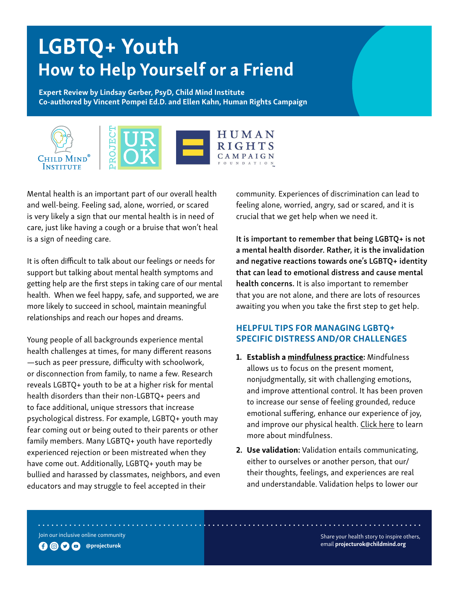# LGBTQ+ Youth How to Help Yourself or a Friend

Expert Review by Lindsay Gerber, PsyD, Child Mind Institute Co-authored by Vincent Pompei Ed.D. and Ellen Kahn, Human Rights Campaign



Mental health is an important part of our overall health and well-being. Feeling sad, alone, worried, or scared is very likely a sign that our mental health is in need of care, just like having a cough or a bruise that won't heal is a sign of needing care.

It is often difficult to talk about our feelings or needs for support but talking about mental health symptoms and getting help are the first steps in taking care of our mental health. When we feel happy, safe, and supported, we are more likely to succeed in school, maintain meaningful relationships and reach our hopes and dreams.

Young people of all backgrounds experience mental health challenges at times, for many different reasons —such as peer pressure, difficulty with schoolwork, or disconnection from family, to name a few. Research reveals LGBTQ+ youth to be at a higher risk for mental health disorders than their non-LGBTQ+ peers and to face additional, unique stressors that increase psychological distress. For example, LGBTQ+ youth may fear coming out or being outed to their parents or other family members. Many LGBTQ+ youth have reportedly experienced rejection or been mistreated when they have come out. Additionally, LGBTQ+ youth may be bullied and harassed by classmates, neighbors, and even educators and may struggle to feel accepted in their

community. Experiences of discrimination can lead to feeling alone, worried, angry, sad or scared, and it is crucial that we get help when we need it.

It is important to remember that being LGBTQ+ is not a mental health disorder. Rather, it is the invalidation and negative reactions towards one's LGBTQ+ identity that can lead to emotional distress and cause mental health concerns. It is also important to remember that you are not alone, and there are lots of resources awaiting you when you take the first step to get help.

## HELPFUL TIPS FOR MANAGING LGBTQ+ SPECIFIC DISTRESS AND/OR CHALLENGES

- 1. Establish a [mindfulness practice:](https://childmind.org/topics/concerns/mindfulness/) Mindfulness allows us to focus on the present moment, nonjudgmentally, sit with challenging emotions, and improve attentional control. It has been proven to increase our sense of feeling grounded, reduce emotional suffering, enhance our experience of joy, and improve our physical health. [Click here](https://childmind.org/article/the-art-and-science-of-mindfulness/) to learn more about mindfulness.
- 2. Use validation: Validation entails communicating, either to ourselves or another person, that our/ their thoughts, feelings, and experiences are real and understandable. Validation helps to lower our

Join our inclusive online community



Share your health story to inspire others, email [projecturok@childmind.org](mailto:projecturok%40childmind.org?subject=)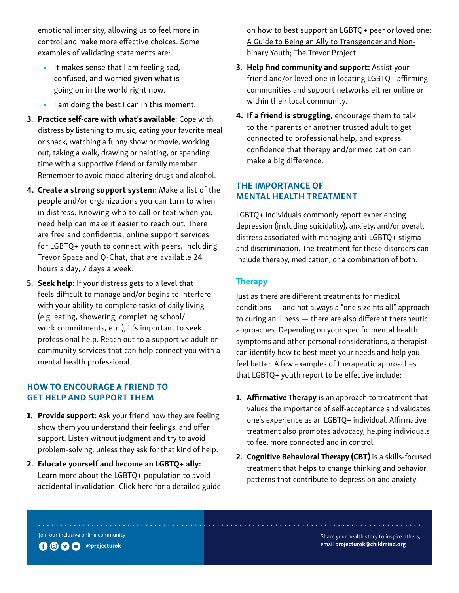emotional intensity, allowing us to feel more in control and make more effective choices. Some examples of validating statements are:

- It makes sense that I am feeling sad, confused, and worried given what is going on in the world right now.
- I am doing the best I can in this moment.
- 3. Practice self-care with what's available: Cope with distress by listening to music, eating your favorite meal or snack, watching a funny show or movie, working out, taking a walk, drawing or painting, or spending time with a supportive friend or family member. Remember to avoid mood-altering drugs and alcohol.
- 4. Create a strong support system: Make a list of the people and/or organizations you can turn to when in distress. Knowing who to call or text when you need help can make it easier to reach out. There are free and confidential online support services for LGBTQ+ youth to connect with peers, including Trevor Space and Q-Chat, that are available 24 hours a day, 7 days a week.
- 5. Seek help: If your distress gets to a level that feels difficult to manage and/or begins to interfere with your ability to complete tasks of daily living (e.g. eating, showering, completing school/ work commitments, etc.), it's important to seek professional help. Reach out to a supportive adult or community services that can help connect you with a mental health professional.

## HOW TO ENCOURAGE A FRIEND TO GET HELP AND SUPPORT THEM

- 1. Provide support: Ask your friend how they are feeling, show them you understand their feelings, and offer support. Listen without judgment and try to avoid problem-solving, unless they ask for that kind of help.
- 2. Educate yourself and become an LGBTQ+ ally: Learn more about the LGBTQ+ population to avoid accidental invalidation. Click here for a detailed guide

on how to best support an LGBTQ+ peer or loved one: [A Guide to Being an Ally to Transgender and Non](https://www.thetrevorproject.org/resources/trevor-support-center/a-guide-to-being-an-ally-to-transgender-and-nonbinary-youth)[binary Youth; The Trevor Project.](https://www.thetrevorproject.org/resources/trevor-support-center/a-guide-to-being-an-ally-to-transgender-and-nonbinary-youth)

- 3. Help find community and support: Assist your friend and/or loved one in locating LGBTQ+ affirming communities and support networks either online or within their local community.
- 4. If a friend is struggling, encourage them to talk to their parents or another trusted adult to get connected to professional help, and express confidence that therapy and/or medication can make a big difference.

## THE IMPORTANCE OF MENTAL HEALTH TREATMENT

LGBTQ+ individuals commonly report experiencing depression (including suicidality), anxiety, and/or overall distress associated with managing anti-LGBTQ+ stigma and discrimination. The treatment for these disorders can include therapy, medication, or a combination of both.

### **Therapy**

Just as there are different treatments for medical conditions — and not always a "one size fits all" approach to curing an illness — there are also different therapeutic approaches. Depending on your specific mental health symptoms and other personal considerations, a therapist can identify how to best meet your needs and help you feel better. A few examples of therapeutic approaches that LGBTQ+ youth report to be effective include:

- **1. Affirmative Therapy** is an approach to treatment that values the importance of self-acceptance and validates one's experience as an LGBTQ+ individual. Affirmative treatment also promotes advocacy, helping individuals to feel more connected and in control.
- 2. Cognitive Behavioral Therapy (CBT) is a skills-focused treatment that helps to change thinking and behavior patterns that contribute to depression and anxiety.

Join our inclusive online community

. . . . . . . . . . . . . . . .



Share your health story to inspire others, email [projecturok@childmind.org](mailto:projecturok%40childmind.org?subject=)